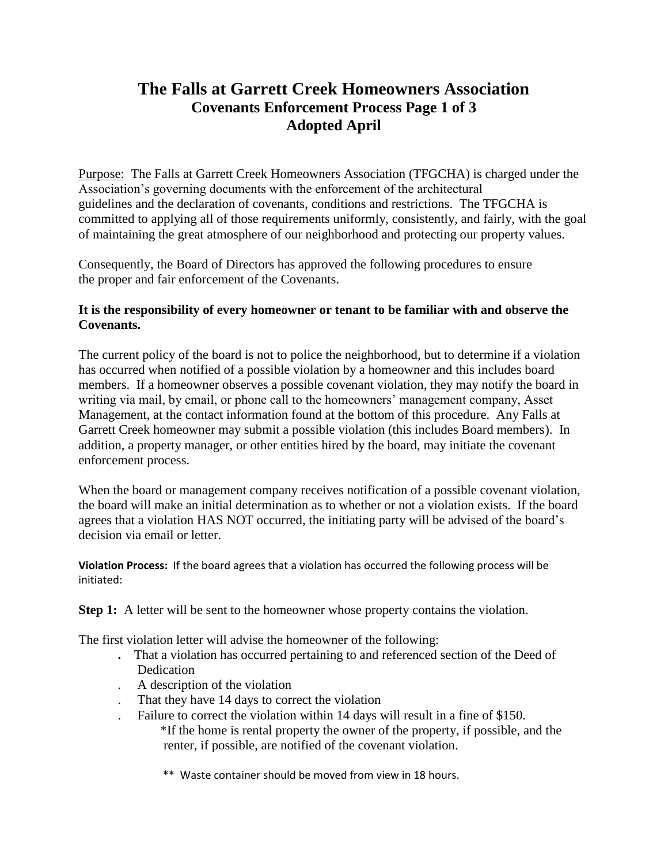## **The Falls at Garrett Creek Homeowners Association Covenants Enforcement Process Page 1 of 3 Adopted April**

Purpose: The Falls at Garrett Creek Homeowners Association (TFGCHA) is charged under the Association's governing documents with the enforcement of the architectural guidelines and the declaration of covenants, conditions and restrictions. The TFGCHA is committed to applying all of those requirements uniformly, consistently, and fairly, with the goal of maintaining the great atmosphere of our neighborhood and protecting our property values.

Consequently, the Board of Directors has approved the following procedures to ensure the proper and fair enforcement of the Covenants.

## **It is the responsibility of every homeowner or tenant to be familiar with and observe the Covenants.**

The current policy of the board is not to police the neighborhood, but to determine if a violation has occurred when notified of a possible violation by a homeowner and this includes board members. If a homeowner observes a possible covenant violation, they may notify the board in writing via mail, by email, or phone call to the homeowners' management company, Asset Management, at the contact information found at the bottom of this procedure. Any Falls at Garrett Creek homeowner may submit a possible violation (this includes Board members). In addition, a property manager, or other entities hired by the board, may initiate the covenant enforcement process.

When the board or management company receives notification of a possible covenant violation, the board will make an initial determination as to whether or not a violation exists. If the board agrees that a violation HAS NOT occurred, the initiating party will be advised of the board's decision via email or letter.

**Violation Process:** If the board agrees that a violation has occurred the following process will be initiated:

**Step 1:** A letter will be sent to the homeowner whose property contains the violation.

The first violation letter will advise the homeowner of the following:

- **.** That a violation has occurred pertaining to and referenced section of the Deed of Dedication
- . A description of the violation
- . That they have 14 days to correct the violation
	- . Failure to correct the violation within 14 days will result in a fine of \$150. \*If the home is rental property the owner of the property, if possible, and the renter, if possible, are notified of the covenant violation.
		- \*\* Waste container should be moved from view in 18 hours.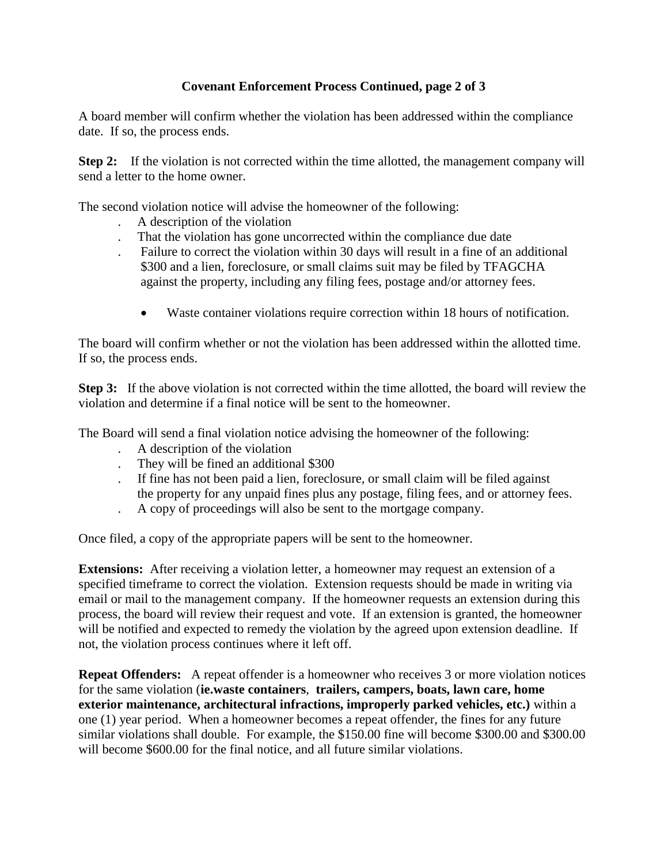## **Covenant Enforcement Process Continued, page 2 of 3**

A board member will confirm whether the violation has been addressed within the compliance date. If so, the process ends.

**Step 2:** If the violation is not corrected within the time allotted, the management company will send a letter to the home owner.

The second violation notice will advise the homeowner of the following:

- . A description of the violation
- . That the violation has gone uncorrected within the compliance due date
- . Failure to correct the violation within 30 days will result in a fine of an additional \$300 and a lien, foreclosure, or small claims suit may be filed by TFAGCHA against the property, including any filing fees, postage and/or attorney fees.
	- Waste container violations require correction within 18 hours of notification.

The board will confirm whether or not the violation has been addressed within the allotted time. If so, the process ends.

**Step 3:** If the above violation is not corrected within the time allotted, the board will review the violation and determine if a final notice will be sent to the homeowner.

The Board will send a final violation notice advising the homeowner of the following:

- . A description of the violation
- . They will be fined an additional \$300
- . If fine has not been paid a lien, foreclosure, or small claim will be filed against the property for any unpaid fines plus any postage, filing fees, and or attorney fees.
- . A copy of proceedings will also be sent to the mortgage company.

Once filed, a copy of the appropriate papers will be sent to the homeowner.

**Extensions:** After receiving a violation letter, a homeowner may request an extension of a specified timeframe to correct the violation. Extension requests should be made in writing via email or mail to the management company. If the homeowner requests an extension during this process, the board will review their request and vote. If an extension is granted, the homeowner will be notified and expected to remedy the violation by the agreed upon extension deadline. If not, the violation process continues where it left off.

**Repeat Offenders:** A repeat offender is a homeowner who receives 3 or more violation notices for the same violation (**ie.waste containers**, **trailers, campers, boats, lawn care, home exterior maintenance, architectural infractions, improperly parked vehicles, etc.)** within a one (1) year period. When a homeowner becomes a repeat offender, the fines for any future similar violations shall double. For example, the \$150.00 fine will become \$300.00 and \$300.00 will become \$600,00 for the final notice, and all future similar violations.